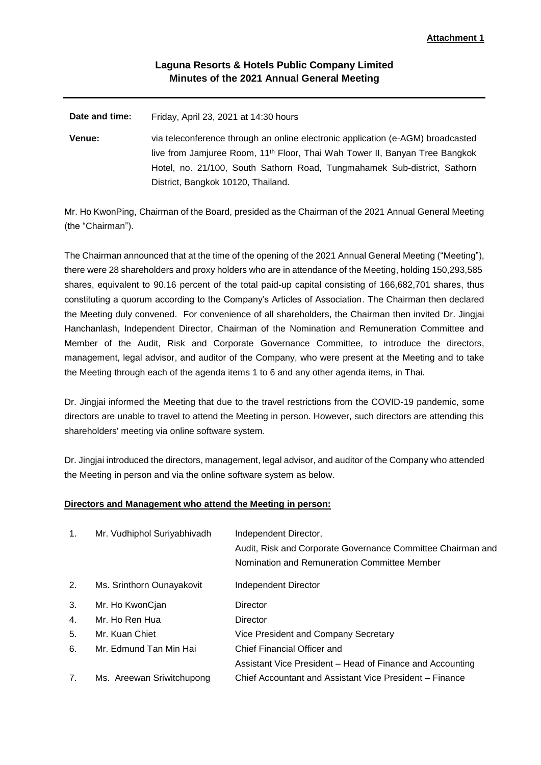## **Laguna Resorts & Hotels Public Company Limited Minutes of the 2021 Annual General Meeting**

**Date and time:** Friday, April 23, 2021 at 14:30 hours **Venue:** via teleconference through an online electronic application (e-AGM) broadcasted live from Jamjuree Room, 11<sup>th</sup> Floor, Thai Wah Tower II, Banyan Tree Bangkok Hotel, no. 21/100, South Sathorn Road, Tungmahamek Sub-district, Sathorn District, Bangkok 10120, Thailand.

Mr. Ho KwonPing, Chairman of the Board, presided as the Chairman of the 2021 Annual General Meeting (the "Chairman").

The Chairman announced that at the time of the opening of the 2021 Annual General Meeting ("Meeting"), there were 28 shareholders and proxy holders who are in attendance of the Meeting, holding 150,293,585 shares, equivalent to 90.16 percent of the total paid-up capital consisting of 166,682,701 shares, thus constituting a quorum according to the Company's Articles of Association. The Chairman then declared the Meeting duly convened. For convenience of all shareholders, the Chairman then invited Dr. Jingjai Hanchanlash, Independent Director, Chairman of the Nomination and Remuneration Committee and Member of the Audit, Risk and Corporate Governance Committee, to introduce the directors, management, legal advisor, and auditor of the Company, who were present at the Meeting and to take the Meeting through each of the agenda items 1 to 6 and any other agenda items, in Thai.

Dr. Jingjai informed the Meeting that due to the travel restrictions from the COVID-19 pandemic, some directors are unable to travel to attend the Meeting in person. However, such directors are attending this shareholders' meeting via online software system.

Dr. Jingjai introduced the directors, management, legal advisor, and auditor of the Company who attended the Meeting in person and via the online software system as below.

## **Directors and Management who attend the Meeting in person:**

| 1. | Mr. Vudhiphol Suriyabhivadh | Independent Director,<br>Audit, Risk and Corporate Governance Committee Chairman and<br>Nomination and Remuneration Committee Member |
|----|-----------------------------|--------------------------------------------------------------------------------------------------------------------------------------|
| 2. | Ms. Srinthorn Ounayakovit   | Independent Director                                                                                                                 |
| 3. | Mr. Ho KwonCjan             | Director                                                                                                                             |
| 4. | Mr. Ho Ren Hua              | Director                                                                                                                             |
| 5. | Mr. Kuan Chiet              | Vice President and Company Secretary                                                                                                 |
| 6. | Mr. Edmund Tan Min Hai      | Chief Financial Officer and                                                                                                          |
|    |                             | Assistant Vice President – Head of Finance and Accounting                                                                            |
| 7. | Ms. Areewan Sriwitchupong   | Chief Accountant and Assistant Vice President – Finance                                                                              |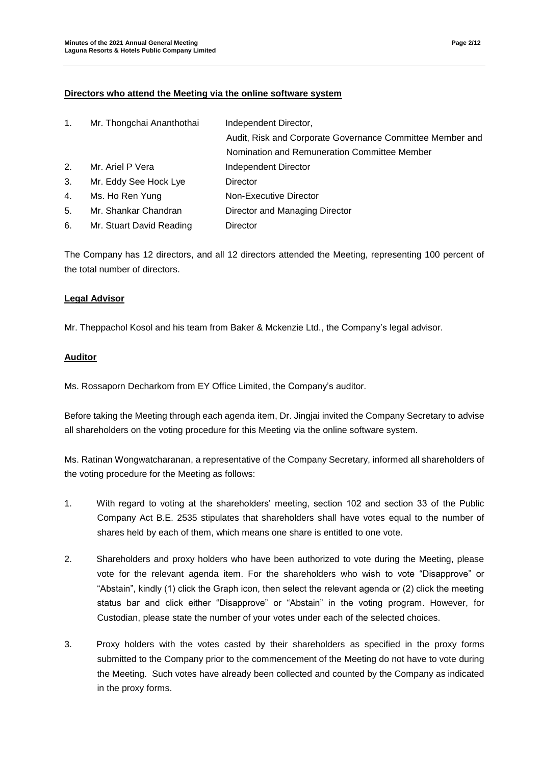## **Directors who attend the Meeting via the online software system**

| 1 <sub>1</sub> | Mr. Thongchai Ananthothai | Independent Director,                                     |
|----------------|---------------------------|-----------------------------------------------------------|
|                |                           | Audit, Risk and Corporate Governance Committee Member and |
|                |                           | Nomination and Remuneration Committee Member              |
| 2.             | Mr. Ariel P Vera          | Independent Director                                      |
| 3.             | Mr. Eddy See Hock Lye     | Director                                                  |
| 4.             | Ms. Ho Ren Yung           | Non-Executive Director                                    |
| 5.             | Mr. Shankar Chandran      | Director and Managing Director                            |
| 6.             | Mr. Stuart David Reading  | Director                                                  |

The Company has 12 directors, and all 12 directors attended the Meeting, representing 100 percent of the total number of directors.

## **Legal Advisor**

Mr. Theppachol Kosol and his team from Baker & Mckenzie Ltd., the Company's legal advisor.

## **Auditor**

Ms. Rossaporn Decharkom from EY Office Limited, the Company's auditor.

Before taking the Meeting through each agenda item, Dr. Jingjai invited the Company Secretary to advise all shareholders on the voting procedure for this Meeting via the online software system.

Ms. Ratinan Wongwatcharanan, a representative of the Company Secretary, informed all shareholders of the voting procedure for the Meeting as follows:

- 1. With regard to voting at the shareholders' meeting, section 102 and section 33 of the Public Company Act B.E. 2535 stipulates that shareholders shall have votes equal to the number of shares held by each of them, which means one share is entitled to one vote.
- 2. Shareholders and proxy holders who have been authorized to vote during the Meeting, please vote for the relevant agenda item. For the shareholders who wish to vote "Disapprove" or "Abstain", kindly (1) click the Graph icon, then select the relevant agenda or (2) click the meeting status bar and click either "Disapprove" or "Abstain" in the voting program. However, for Custodian, please state the number of your votes under each of the selected choices.
- 3. Proxy holders with the votes casted by their shareholders as specified in the proxy forms submitted to the Company prior to the commencement of the Meeting do not have to vote during the Meeting. Such votes have already been collected and counted by the Company as indicated in the proxy forms.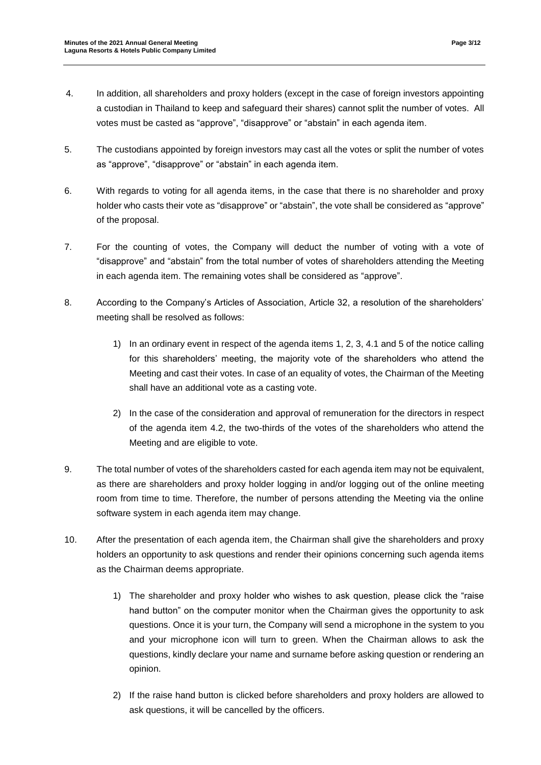- 4. In addition, all shareholders and proxy holders (except in the case of foreign investors appointing a custodian in Thailand to keep and safeguard their shares) cannot split the number of votes. All votes must be casted as "approve", "disapprove" or "abstain" in each agenda item.
- 5. The custodians appointed by foreign investors may cast all the votes or split the number of votes as "approve", "disapprove" or "abstain" in each agenda item.
- 6. With regards to voting for all agenda items, in the case that there is no shareholder and proxy holder who casts their vote as "disapprove" or "abstain", the vote shall be considered as "approve" of the proposal.
- 7. For the counting of votes, the Company will deduct the number of voting with a vote of "disapprove" and "abstain" from the total number of votes of shareholders attending the Meeting in each agenda item. The remaining votes shall be considered as "approve".
- 8. According to the Company's Articles of Association, Article 32, a resolution of the shareholders' meeting shall be resolved as follows:
	- 1) In an ordinary event in respect of the agenda items 1, 2, 3, 4.1 and 5 of the notice calling for this shareholders' meeting, the majority vote of the shareholders who attend the Meeting and cast their votes. In case of an equality of votes, the Chairman of the Meeting shall have an additional vote as a casting vote.
	- 2) In the case of the consideration and approval of remuneration for the directors in respect of the agenda item 4.2, the two-thirds of the votes of the shareholders who attend the Meeting and are eligible to vote.
- 9. The total number of votes of the shareholders casted for each agenda item may not be equivalent, as there are shareholders and proxy holder logging in and/or logging out of the online meeting room from time to time. Therefore, the number of persons attending the Meeting via the online software system in each agenda item may change.
- 10. After the presentation of each agenda item, the Chairman shall give the shareholders and proxy holders an opportunity to ask questions and render their opinions concerning such agenda items as the Chairman deems appropriate.
	- 1) The shareholder and proxy holder who wishes to ask question, please click the "raise hand button" on the computer monitor when the Chairman gives the opportunity to ask questions. Once it is your turn, the Company will send a microphone in the system to you and your microphone icon will turn to green. When the Chairman allows to ask the questions, kindly declare your name and surname before asking question or rendering an opinion.
	- 2) If the raise hand button is clicked before shareholders and proxy holders are allowed to ask questions, it will be cancelled by the officers.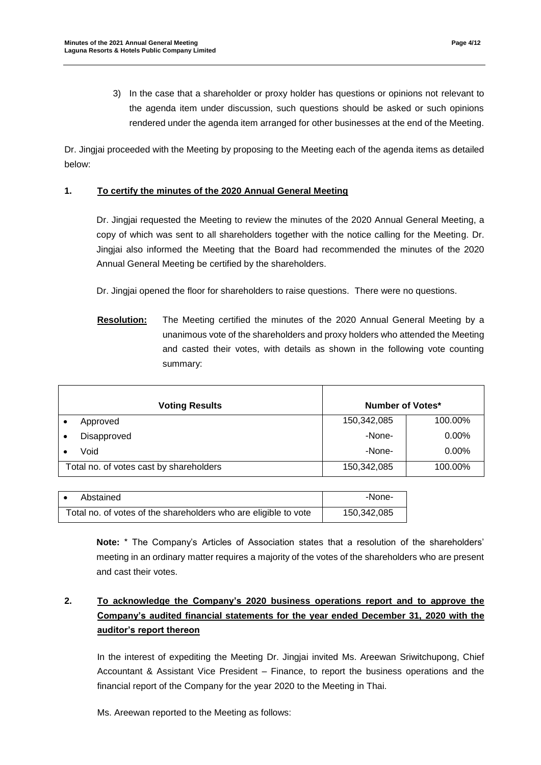- 
- 3) In the case that a shareholder or proxy holder has questions or opinions not relevant to the agenda item under discussion, such questions should be asked or such opinions rendered under the agenda item arranged for other businesses at the end of the Meeting.

Dr. Jingjai proceeded with the Meeting by proposing to the Meeting each of the agenda items as detailed below:

## **1. To certify the minutes of the 2020 Annual General Meeting**

Dr. Jingjai requested the Meeting to review the minutes of the 2020 Annual General Meeting, a copy of which was sent to all shareholders together with the notice calling for the Meeting. Dr. Jingjai also informed the Meeting that the Board had recommended the minutes of the 2020 Annual General Meeting be certified by the shareholders.

Dr. Jingjai opened the floor for shareholders to raise questions. There were no questions.

**Resolution:** The Meeting certified the minutes of the 2020 Annual General Meeting by a unanimous vote of the shareholders and proxy holders who attended the Meeting and casted their votes, with details as shown in the following vote counting summary:

| <b>Number of Votes*</b><br><b>Voting Results</b> |                                         |             |          |
|--------------------------------------------------|-----------------------------------------|-------------|----------|
|                                                  | Approved                                | 150,342,085 | 100.00%  |
|                                                  | Disapproved                             | -None-      | $0.00\%$ |
|                                                  | Void                                    | -None-      | 0.00%    |
|                                                  | Total no. of votes cast by shareholders | 150,342,085 | 100.00%  |

|                                                                 | Abstained | -None-      |
|-----------------------------------------------------------------|-----------|-------------|
| Total no. of votes of the shareholders who are eligible to vote |           | 150,342,085 |

**Note:** \* The Company's Articles of Association states that a resolution of the shareholders' meeting in an ordinary matter requires a majority of the votes of the shareholders who are present and cast their votes.

# **2. To acknowledge the Company's 2020 business operations report and to approve the Company's audited financial statements for the year ended December 31, 2020 with the auditor's report thereon**

In the interest of expediting the Meeting Dr. Jingjai invited Ms. Areewan Sriwitchupong, Chief Accountant & Assistant Vice President – Finance, to report the business operations and the financial report of the Company for the year 2020 to the Meeting in Thai.

Ms. Areewan reported to the Meeting as follows: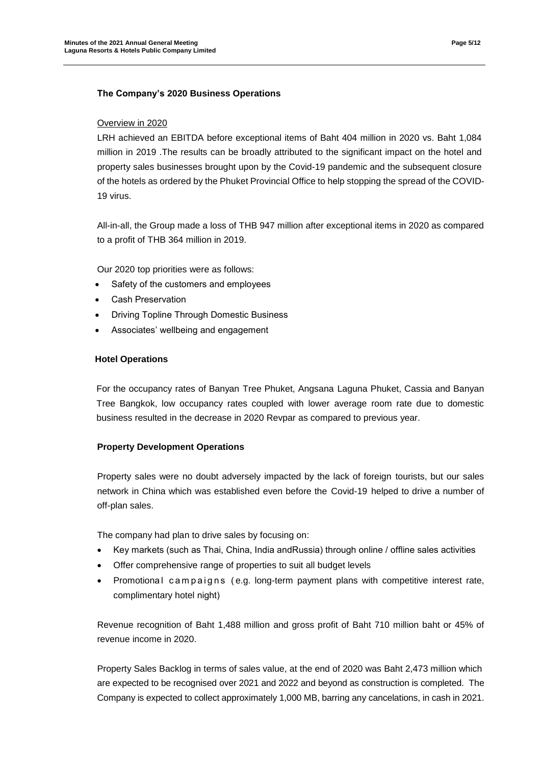## **The Company's 2020 Business Operations**

#### Overview in 2020

LRH achieved an EBITDA before exceptional items of Baht 404 million in 2020 vs. Baht 1,084 million in 2019 .The results can be broadly attributed to the significant impact on the hotel and property sales businesses brought upon by the Covid-19 pandemic and the subsequent closure of the hotels as ordered by the Phuket Provincial Office to help stopping the spread of the COVID-19 virus.

All-in-all, the Group made a loss of THB 947 million after exceptional items in 2020 as compared to a profit of THB 364 million in 2019.

Our 2020 top priorities were as follows:

- Safety of the customers and employees
- Cash Preservation
- Driving Topline Through Domestic Business
- Associates' wellbeing and engagement

## **Hotel Operations**

For the occupancy rates of Banyan Tree Phuket, Angsana Laguna Phuket, Cassia and Banyan Tree Bangkok, low occupancy rates coupled with lower average room rate due to domestic business resulted in the decrease in 2020 Revpar as compared to previous year.

## **Property Development Operations**

Property sales were no doubt adversely impacted by the lack of foreign tourists, but our sales network in China which was established even before the Covid-19 helped to drive a number of off-plan sales.

The company had plan to drive sales by focusing on:

- Key markets (such as Thai, China, India andRussia) through online / offline sales activities
- Offer comprehensive range of properties to suit all budget levels
- Promotional campaigns (e.g. long-term payment plans with competitive interest rate, complimentary hotel night)

Revenue recognition of Baht 1,488 million and gross profit of Baht 710 million baht or 45% of revenue income in 2020.

Property Sales Backlog in terms of sales value, at the end of 2020 was Baht 2,473 million which are expected to be recognised over 2021 and 2022 and beyond as construction is completed. The Company is expected to collect approximately 1,000 MB, barring any cancelations, in cash in 2021.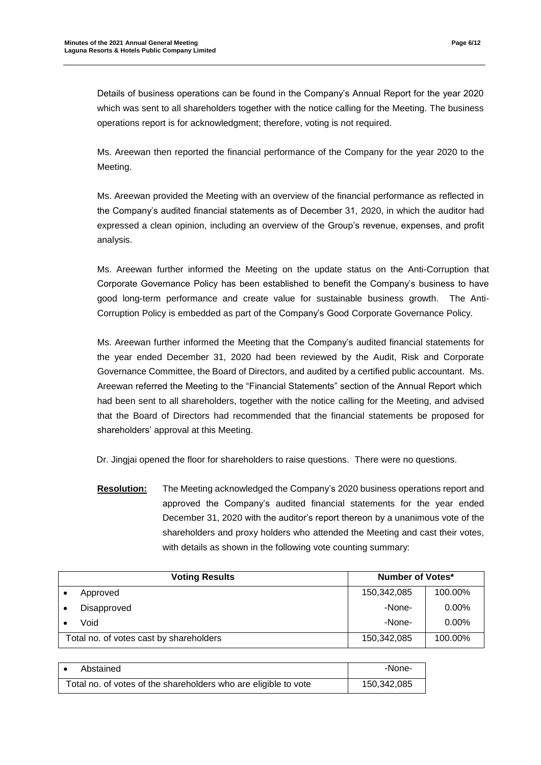Details of business operations can be found in the Company's Annual Report for the year 2020 which was sent to all shareholders together with the notice calling for the Meeting. The business operations report is for acknowledgment; therefore, voting is not required.

Ms. Areewan then reported the financial performance of the Company for the year 2020 to the Meeting.

Ms. Areewan provided the Meeting with an overview of the financial performance as reflected in the Company's audited financial statements as of December 31, 2020, in which the auditor had expressed a clean opinion, including an overview of the Group's revenue, expenses, and profit analysis.

Ms. Areewan further informed the Meeting on the update status on the Anti-Corruption that Corporate Governance Policy has been established to benefit the Company's business to have good long-term performance and create value for sustainable business growth. The Anti-Corruption Policy is embedded as part of the Company's Good Corporate Governance Policy.

Ms. Areewan further informed the Meeting that the Company's audited financial statements for the year ended December 31, 2020 had been reviewed by the Audit, Risk and Corporate Governance Committee, the Board of Directors, and audited by a certified public accountant. Ms. Areewan referred the Meeting to the "Financial Statements" section of the Annual Report which had been sent to all shareholders, together with the notice calling for the Meeting, and advised that the Board of Directors had recommended that the financial statements be proposed for shareholders' approval at this Meeting.

Dr. Jingjai opened the floor for shareholders to raise questions. There were no questions.

**Resolution:** The Meeting acknowledged the Company's 2020 business operations report and approved the Company's audited financial statements for the year ended December 31, 2020 with the auditor's report thereon by a unanimous vote of the shareholders and proxy holders who attended the Meeting and cast their votes, with details as shown in the following vote counting summary:

| <b>Voting Results</b>                   | <b>Number of Votes*</b> |          |
|-----------------------------------------|-------------------------|----------|
| Approved                                | 150,342,085             | 100.00%  |
| Disapproved                             | -None-                  | $0.00\%$ |
| Void                                    | -None-                  | $0.00\%$ |
| Total no. of votes cast by shareholders | 150,342,085             | 100.00%  |

| Abstained                                                       | -None-      |
|-----------------------------------------------------------------|-------------|
| Total no. of votes of the shareholders who are eligible to vote | 150,342,085 |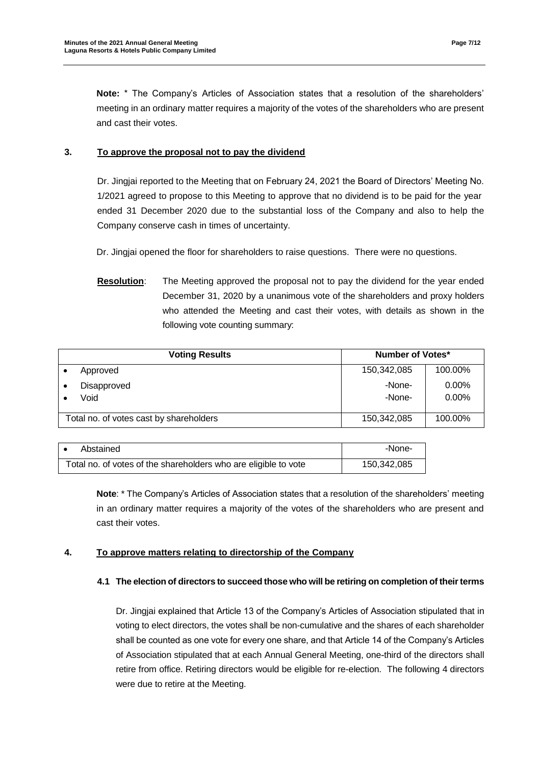**Note:** \* The Company's Articles of Association states that a resolution of the shareholders' meeting in an ordinary matter requires a majority of the votes of the shareholders who are present and cast their votes.

## **3. To approve the proposal not to pay the dividend**

Dr. Jingjai reported to the Meeting that on February 24, 2021 the Board of Directors' Meeting No. 1/2021 agreed to propose to this Meeting to approve that no dividend is to be paid for the year ended 31 December 2020 due to the substantial loss of the Company and also to help the Company conserve cash in times of uncertainty.

Dr. Jingjai opened the floor for shareholders to raise questions. There were no questions.

**Resolution**: The Meeting approved the proposal not to pay the dividend for the year ended December 31, 2020 by a unanimous vote of the shareholders and proxy holders who attended the Meeting and cast their votes, with details as shown in the following vote counting summary:

| <b>Voting Results</b> |                                         | <b>Number of Votes*</b> |                   |
|-----------------------|-----------------------------------------|-------------------------|-------------------|
|                       | Approved                                | 150,342,085             | 100.00%           |
|                       | Disapproved<br>Void                     | -None-<br>-None-        | $0.00\%$<br>0.00% |
|                       | Total no. of votes cast by shareholders | 150,342,085             | 100.00%           |

|                                                                 | Abstained | -None-      |
|-----------------------------------------------------------------|-----------|-------------|
| Total no. of votes of the shareholders who are eligible to vote |           | 150.342.085 |

**Note**: \* The Company's Articles of Association states that a resolution of the shareholders' meeting in an ordinary matter requires a majority of the votes of the shareholders who are present and cast their votes.

#### **4. To approve matters relating to directorship of the Company**

#### **4.1 The election of directors to succeed those who will be retiring on completion of their terms**

Dr. Jingjai explained that Article 13 of the Company's Articles of Association stipulated that in voting to elect directors, the votes shall be non-cumulative and the shares of each shareholder shall be counted as one vote for every one share, and that Article 14 of the Company's Articles of Association stipulated that at each Annual General Meeting, one-third of the directors shall retire from office. Retiring directors would be eligible for re-election. The following 4 directors were due to retire at the Meeting.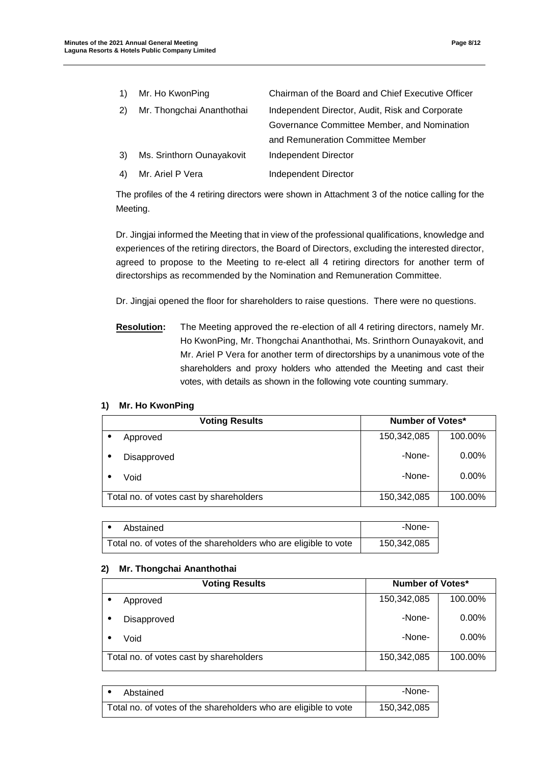|     | Mr. Ho KwonPing           | Chairman of the Board and Chief Executive Officer |
|-----|---------------------------|---------------------------------------------------|
| (2) | Mr. Thongchai Ananthothai | Independent Director, Audit, Risk and Corporate   |
|     |                           | Governance Committee Member, and Nomination       |
|     |                           | and Remuneration Committee Member                 |
| 3)  | Ms. Srinthorn Ounayakovit | Independent Director                              |
|     | Mr. Ariel P Vera          | Independent Director                              |

The profiles of the 4 retiring directors were shown in Attachment 3 of the notice calling for the Meeting.

Dr. Jingjai informed the Meeting that in view of the professional qualifications, knowledge and experiences of the retiring directors, the Board of Directors, excluding the interested director, agreed to propose to the Meeting to re-elect all 4 retiring directors for another term of directorships as recommended by the Nomination and Remuneration Committee.

Dr. Jingjai opened the floor for shareholders to raise questions. There were no questions.

**Resolution:** The Meeting approved the re-election of all 4 retiring directors, namely Mr. Ho KwonPing, Mr. Thongchai Ananthothai, Ms. Srinthorn Ounayakovit, and Mr. Ariel P Vera for another term of directorships by a unanimous vote of the shareholders and proxy holders who attended the Meeting and cast their votes, with details as shown in the following vote counting summary.

#### **1) Mr. Ho KwonPing**

| <b>Voting Results</b> |                                         | Number of Votes* |          |
|-----------------------|-----------------------------------------|------------------|----------|
|                       | Approved                                | 150,342,085      | 100.00%  |
|                       | Disapproved                             | -None-           | $0.00\%$ |
|                       | Void                                    | -None-           | $0.00\%$ |
|                       | Total no. of votes cast by shareholders | 150,342,085      | 100.00%  |

| Abstained                                                       | -None-      |
|-----------------------------------------------------------------|-------------|
| Total no. of votes of the shareholders who are eligible to vote | 150,342,085 |

#### **2) Mr. Thongchai Ananthothai**

| <b>Voting Results</b> |                                         | <b>Number of Votes*</b> |          |
|-----------------------|-----------------------------------------|-------------------------|----------|
|                       | Approved                                | 150,342,085             | 100.00%  |
|                       | Disapproved                             | -None-                  | $0.00\%$ |
|                       | Void                                    | -None-                  | $0.00\%$ |
|                       | Total no. of votes cast by shareholders | 150,342,085             | 100.00%  |

| Abstained                                                       | -None-      |
|-----------------------------------------------------------------|-------------|
| Total no. of votes of the shareholders who are eligible to vote | 150,342,085 |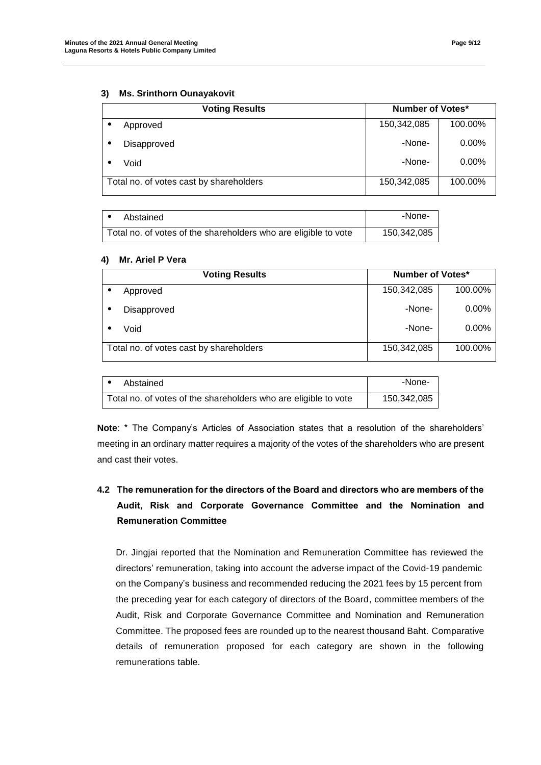#### **3) Ms. Srinthorn Ounayakovit**

| <b>Number of Votes*</b><br><b>Voting Results</b> |                                         |             |          |
|--------------------------------------------------|-----------------------------------------|-------------|----------|
|                                                  | Approved                                | 150,342,085 | 100.00%  |
|                                                  | Disapproved                             | -None-      | $0.00\%$ |
|                                                  | Void                                    | -None-      | $0.00\%$ |
|                                                  | Total no. of votes cast by shareholders | 150,342,085 | 100.00%  |

| Abstained                                                       | -None-      |
|-----------------------------------------------------------------|-------------|
| Total no. of votes of the shareholders who are eligible to vote | 150,342,085 |

#### **4) Mr. Ariel P Vera**

| <b>Voting Results</b>                   | <b>Number of Votes*</b> |          |
|-----------------------------------------|-------------------------|----------|
| Approved                                | 150,342,085             | 100.00%  |
| Disapproved                             | -None-                  | $0.00\%$ |
| Void                                    | -None-                  | $0.00\%$ |
| Total no. of votes cast by shareholders | 150,342,085             | 100.00%  |

| Abstained                                                       | -None-      |
|-----------------------------------------------------------------|-------------|
| Total no. of votes of the shareholders who are eligible to vote | 150,342,085 |

**Note**: \* The Company's Articles of Association states that a resolution of the shareholders' meeting in an ordinary matter requires a majority of the votes of the shareholders who are present and cast their votes.

# **4.2 The remuneration for the directors of the Board and directors who are members of the Audit, Risk and Corporate Governance Committee and the Nomination and Remuneration Committee**

Dr. Jingjai reported that the Nomination and Remuneration Committee has reviewed the directors' remuneration, taking into account the adverse impact of the Covid-19 pandemic on the Company's business and recommended reducing the 2021 fees by 15 percent from the preceding year for each category of directors of the Board, committee members of the Audit, Risk and Corporate Governance Committee and Nomination and Remuneration Committee. The proposed fees are rounded up to the nearest thousand Baht. Comparative details of remuneration proposed for each category are shown in the following remunerations table.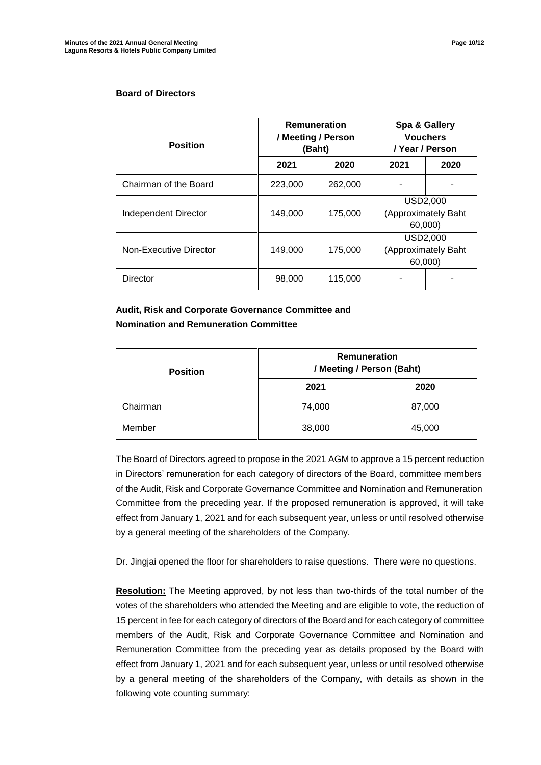| <b>Position</b>        | <b>Remuneration</b><br>/ Meeting / Person | (Baht)  | Spa & Gallery<br><b>Vouchers</b><br>/ Year / Person |      |
|------------------------|-------------------------------------------|---------|-----------------------------------------------------|------|
|                        | 2021                                      | 2020    | 2021                                                | 2020 |
| Chairman of the Board  | 223,000                                   | 262,000 |                                                     |      |
| Independent Director   | 149.000                                   | 175,000 | <b>USD2,000</b><br>(Approximately Baht<br>60,000)   |      |
| Non-Executive Director | 149,000                                   | 175,000 | USD2,000<br>(Approximately Baht<br>60,000)          |      |
| Director               | 98,000                                    | 115,000 |                                                     |      |

# **Audit, Risk and Corporate Governance Committee and Nomination and Remuneration Committee**

| <b>Position</b> | Remuneration<br>/ Meeting / Person (Baht)<br>2021<br>2020 |        |
|-----------------|-----------------------------------------------------------|--------|
|                 |                                                           |        |
| Chairman        | 74,000                                                    | 87,000 |
| Member          | 38,000                                                    | 45,000 |

The Board of Directors agreed to propose in the 2021 AGM to approve a 15 percent reduction in Directors' remuneration for each category of directors of the Board, committee members of the Audit, Risk and Corporate Governance Committee and Nomination and Remuneration Committee from the preceding year. If the proposed remuneration is approved, it will take effect from January 1, 2021 and for each subsequent year, unless or until resolved otherwise by a general meeting of the shareholders of the Company.

Dr. Jingjai opened the floor for shareholders to raise questions. There were no questions.

**Resolution:** The Meeting approved, by not less than two-thirds of the total number of the votes of the shareholders who attended the Meeting and are eligible to vote, the reduction of 15 percent in fee for each category of directors of the Board and for each category of committee members of the Audit, Risk and Corporate Governance Committee and Nomination and Remuneration Committee from the preceding year as details proposed by the Board with effect from January 1, 2021 and for each subsequent year, unless or until resolved otherwise by a general meeting of the shareholders of the Company, with details as shown in the following vote counting summary: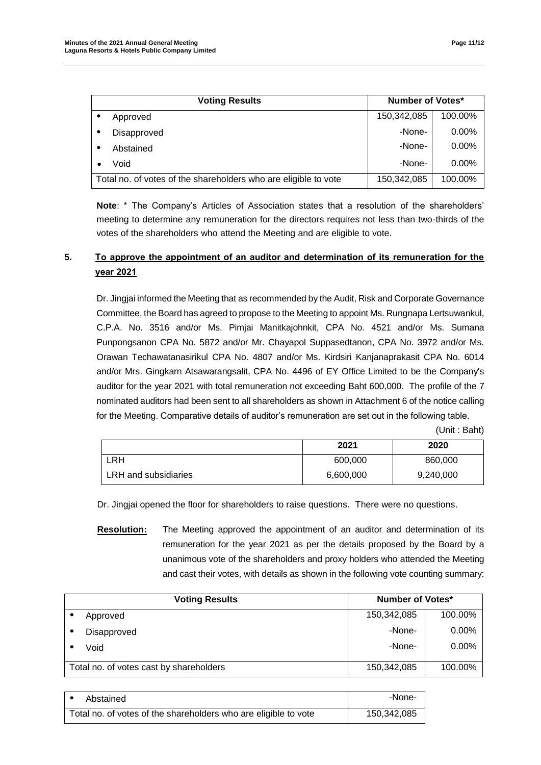| <b>Voting Results</b>                                           | <b>Number of Votes*</b> |          |
|-----------------------------------------------------------------|-------------------------|----------|
| Approved                                                        | 150,342,085             | 100.00%  |
| Disapproved                                                     | -None-                  | $0.00\%$ |
| Abstained                                                       | -None-                  | $0.00\%$ |
| Void                                                            | -None-                  | $0.00\%$ |
| Total no. of votes of the shareholders who are eligible to vote | 150,342,085             | 100.00%  |

**Note**: \* The Company's Articles of Association states that a resolution of the shareholders' meeting to determine any remuneration for the directors requires not less than two-thirds of the votes of the shareholders who attend the Meeting and are eligible to vote.

## **5. To approve the appointment of an auditor and determination of its remuneration for the year 2021**

Dr. Jingjai informed the Meeting that as recommended by the Audit, Risk and Corporate Governance Committee, the Board has agreed to propose to the Meeting to appoint Ms. Rungnapa Lertsuwankul, C.P.A. No. 3516 and/or Ms. Pimjai Manitkajohnkit, CPA No. 4521 and/or Ms. Sumana Punpongsanon CPA No. 5872 and/or Mr. Chayapol Suppasedtanon, CPA No. 3972 and/or Ms. Orawan Techawatanasirikul CPA No. 4807 and/or Ms. Kirdsiri Kanjanaprakasit CPA No. 6014 and/or Mrs. Gingkarn Atsawarangsalit, CPA No. 4496 of EY Office Limited to be the Company's auditor for the year 2021 with total remuneration not exceeding Baht 600,000. The profile of the 7 nominated auditors had been sent to all shareholders as shown in Attachment 6 of the notice calling for the Meeting. Comparative details of auditor's remuneration are set out in the following table.

(Unit : Baht)

|                      | 2021      | 2020      |
|----------------------|-----------|-----------|
| LRH.                 | 600,000   | 860,000   |
| LRH and subsidiaries | 6,600,000 | 9,240,000 |

Dr. Jingjai opened the floor for shareholders to raise questions. There were no questions.

**Resolution:** The Meeting approved the appointment of an auditor and determination of its remuneration for the year 2021 as per the details proposed by the Board by a unanimous vote of the shareholders and proxy holders who attended the Meeting and cast their votes, with details as shown in the following vote counting summary:

| <b>Voting Results</b>                   | <b>Number of Votes*</b> |          |
|-----------------------------------------|-------------------------|----------|
| Approved                                | 150,342,085             | 100.00%  |
| Disapproved                             | -None-                  | $0.00\%$ |
| Void                                    | -None-                  | $0.00\%$ |
| Total no. of votes cast by shareholders | 150,342,085             | 100.00%  |

| Abstained                                                       | -None-      |
|-----------------------------------------------------------------|-------------|
| Total no. of votes of the shareholders who are eligible to vote | 150,342,085 |